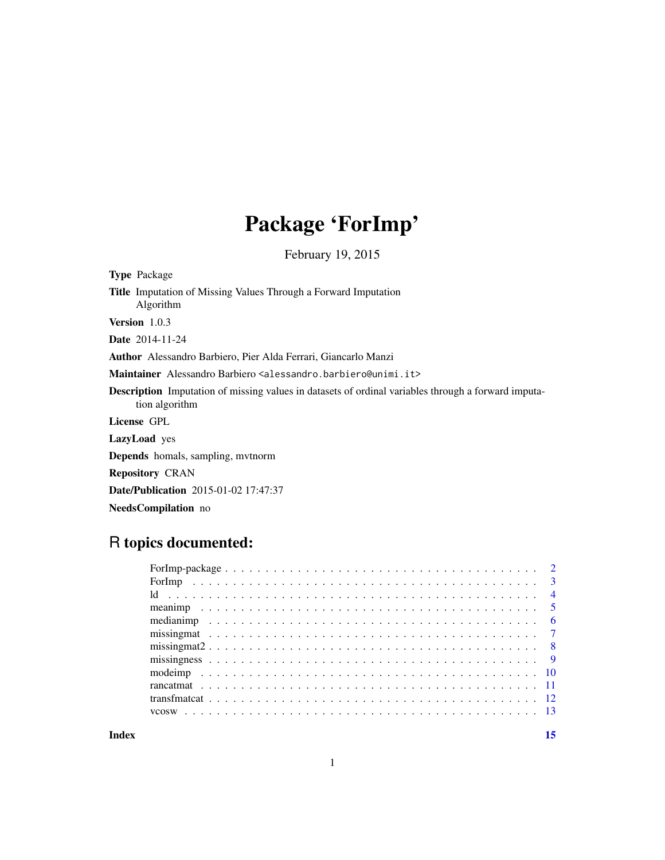# Package 'ForImp'

February 19, 2015

| <b>Type Package</b>                                                                                                          |
|------------------------------------------------------------------------------------------------------------------------------|
| <b>Title</b> Imputation of Missing Values Through a Forward Imputation<br>Algorithm                                          |
| <b>Version</b> $1.0.3$                                                                                                       |
| <b>Date</b> 2014-11-24                                                                                                       |
| <b>Author</b> Alessandro Barbiero, Pier Alda Ferrari, Giancarlo Manzi                                                        |
| Maintainer Alessandro Barbiero <alessandro.barbiero@unimi.it></alessandro.barbiero@unimi.it>                                 |
| <b>Description</b> Imputation of missing values in datasets of ordinal variables through a forward imputa-<br>tion algorithm |
| License GPL                                                                                                                  |
| <b>LazyLoad</b> yes                                                                                                          |
| <b>Depends</b> homals, sampling, mythorm                                                                                     |
| <b>Repository CRAN</b>                                                                                                       |
| <b>Date/Publication</b> 2015-01-02 17:47:37                                                                                  |
| <b>NeedsCompilation</b> no                                                                                                   |
|                                                                                                                              |

## R topics documented:

**Index** [15](#page-14-0)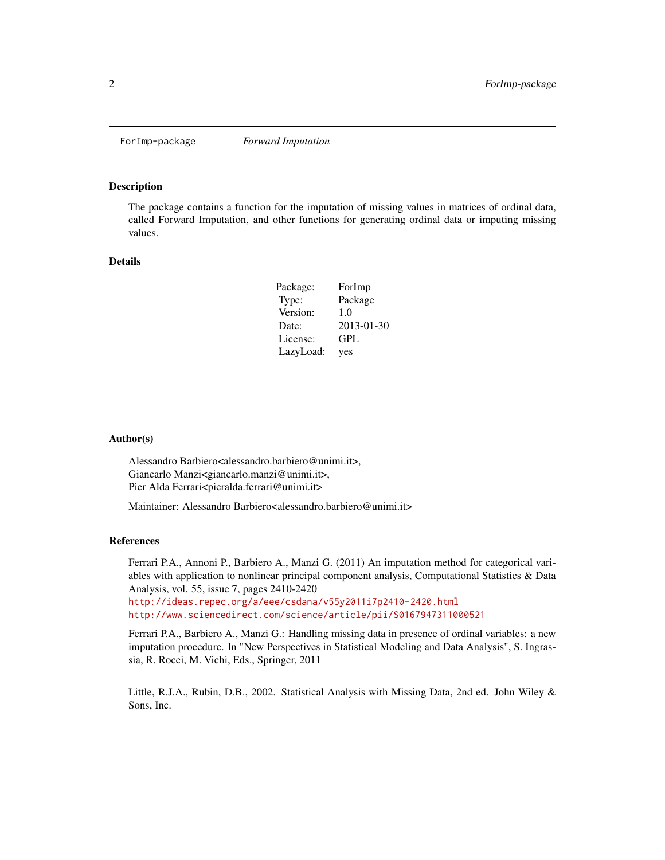<span id="page-1-0"></span>

## Description

The package contains a function for the imputation of missing values in matrices of ordinal data, called Forward Imputation, and other functions for generating ordinal data or imputing missing values.

#### Details

| Package:  | ForImp     |
|-----------|------------|
| Type:     | Package    |
| Version:  | 1.0        |
| Date:     | 2013-01-30 |
| License:  | GPL        |
| LazyLoad: | yes        |

#### Author(s)

Alessandro Barbiero<alessandro.barbiero@unimi.it>, Giancarlo Manzi<giancarlo.manzi@unimi.it>, Pier Alda Ferrari<pieralda.ferrari@unimi.it>

Maintainer: Alessandro Barbiero<alessandro.barbiero@unimi.it>

#### References

Ferrari P.A., Annoni P., Barbiero A., Manzi G. (2011) An imputation method for categorical variables with application to nonlinear principal component analysis, Computational Statistics & Data Analysis, vol. 55, issue 7, pages 2410-2420

<http://ideas.repec.org/a/eee/csdana/v55y2011i7p2410-2420.html> <http://www.sciencedirect.com/science/article/pii/S0167947311000521>

Ferrari P.A., Barbiero A., Manzi G.: Handling missing data in presence of ordinal variables: a new imputation procedure. In "New Perspectives in Statistical Modeling and Data Analysis", S. Ingrassia, R. Rocci, M. Vichi, Eds., Springer, 2011

Little, R.J.A., Rubin, D.B., 2002. Statistical Analysis with Missing Data, 2nd ed. John Wiley & Sons, Inc.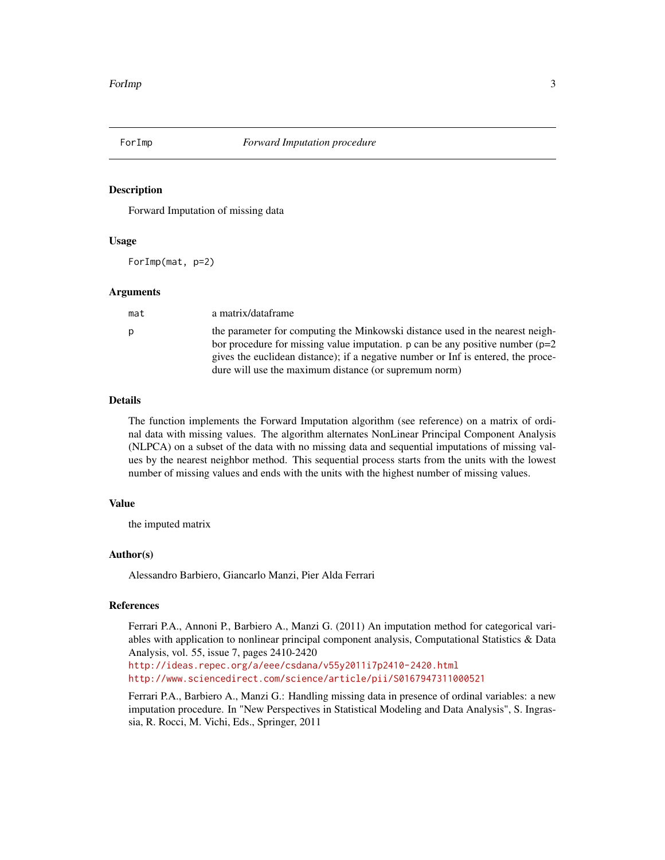<span id="page-2-0"></span>

## Description

Forward Imputation of missing data

#### Usage

ForImp(mat, p=2)

#### Arguments

| mat | a matrix/dataframe                                                                                                                                                                                                                                                                                              |
|-----|-----------------------------------------------------------------------------------------------------------------------------------------------------------------------------------------------------------------------------------------------------------------------------------------------------------------|
| p   | the parameter for computing the Minkowski distance used in the nearest neigh-<br>bor procedure for missing value imputation. p can be any positive number $(p=2)$<br>gives the euclidean distance); if a negative number or Inf is entered, the proce-<br>dure will use the maximum distance (or supremum norm) |

## Details

The function implements the Forward Imputation algorithm (see reference) on a matrix of ordinal data with missing values. The algorithm alternates NonLinear Principal Component Analysis (NLPCA) on a subset of the data with no missing data and sequential imputations of missing values by the nearest neighbor method. This sequential process starts from the units with the lowest number of missing values and ends with the units with the highest number of missing values.

## Value

the imputed matrix

## Author(s)

Alessandro Barbiero, Giancarlo Manzi, Pier Alda Ferrari

## **References**

Ferrari P.A., Annoni P., Barbiero A., Manzi G. (2011) An imputation method for categorical variables with application to nonlinear principal component analysis, Computational Statistics & Data Analysis, vol. 55, issue 7, pages 2410-2420

<http://ideas.repec.org/a/eee/csdana/v55y2011i7p2410-2420.html> <http://www.sciencedirect.com/science/article/pii/S0167947311000521>

Ferrari P.A., Barbiero A., Manzi G.: Handling missing data in presence of ordinal variables: a new imputation procedure. In "New Perspectives in Statistical Modeling and Data Analysis", S. Ingrassia, R. Rocci, M. Vichi, Eds., Springer, 2011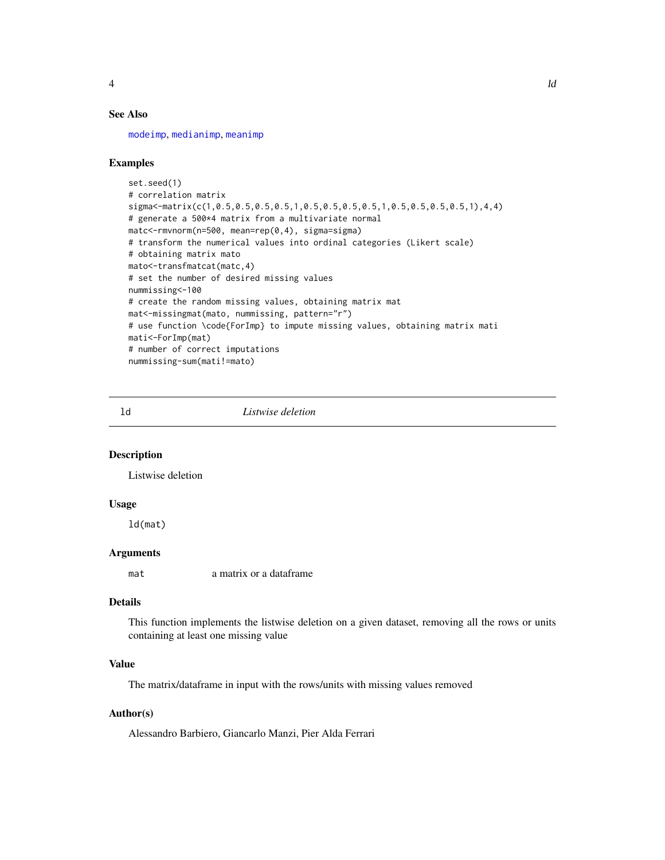<span id="page-3-0"></span>

## See Also

[modeimp](#page-9-1), [medianimp](#page-5-1), [meanimp](#page-4-1)

#### Examples

```
set.seed(1)
# correlation matrix
sigma<-matrix(c(1,0.5,0.5,0.5,0.5,1,0.5,0.5,0.5,0.5,1,0.5,0.5,0.5,0.5,1),4,4)
# generate a 500*4 matrix from a multivariate normal
matc<-rmvnorm(n=500, mean=rep(0,4), sigma=sigma)
# transform the numerical values into ordinal categories (Likert scale)
# obtaining matrix mato
mato<-transfmatcat(matc,4)
# set the number of desired missing values
nummissing<-100
# create the random missing values, obtaining matrix mat
mat<-missingmat(mato, nummissing, pattern="r")
# use function \code{ForImp} to impute missing values, obtaining matrix mati
mati<-ForImp(mat)
# number of correct imputations
nummissing-sum(mati!=mato)
```
ld *Listwise deletion*

## Description

Listwise deletion

#### Usage

ld(mat)

#### Arguments

mat a matrix or a dataframe

## Details

This function implements the listwise deletion on a given dataset, removing all the rows or units containing at least one missing value

## Value

The matrix/dataframe in input with the rows/units with missing values removed

#### Author(s)

Alessandro Barbiero, Giancarlo Manzi, Pier Alda Ferrari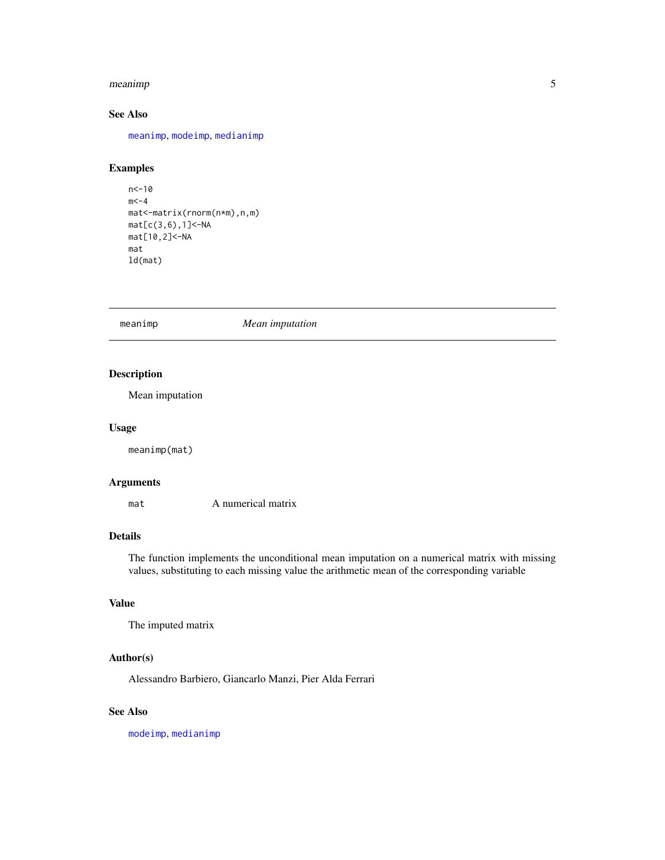#### <span id="page-4-0"></span>meanimp 5

## See Also

[meanimp](#page-4-1), [modeimp](#page-9-1), [medianimp](#page-5-1)

## Examples

```
n<-10
m < -4mat<-matrix(rnorm(n*m),n,m)
mat[c(3,6),1]<-NA
mat[10,2]<-NA
mat
ld(mat)
```
<span id="page-4-1"></span>meanimp *Mean imputation*

## Description

Mean imputation

#### Usage

meanimp(mat)

## Arguments

mat A numerical matrix

## Details

The function implements the unconditional mean imputation on a numerical matrix with missing values, substituting to each missing value the arithmetic mean of the corresponding variable

## Value

```
The imputed matrix
```
## Author(s)

Alessandro Barbiero, Giancarlo Manzi, Pier Alda Ferrari

## See Also

[modeimp](#page-9-1), [medianimp](#page-5-1)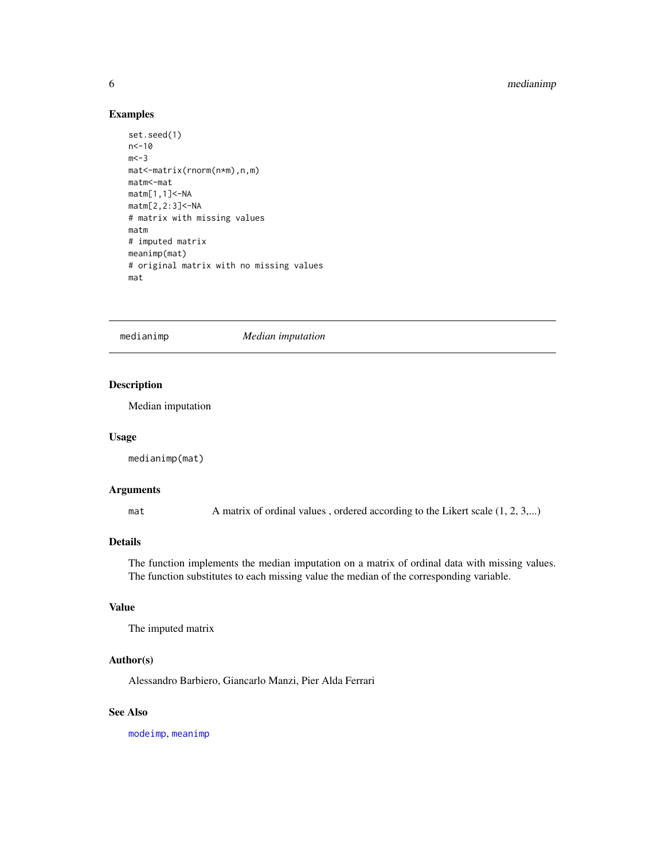## <span id="page-5-0"></span>6 medianimp

## Examples

```
set.seed(1)
n<-10
m < -3mat<-matrix(rnorm(n*m),n,m)
matm<-mat
matm[1,1]<-NA
matm[2,2:3]<-NA
# matrix with missing values
matm
# imputed matrix
meanimp(mat)
# original matrix with no missing values
mat
```
<span id="page-5-1"></span>medianimp *Median imputation*

## Description

Median imputation

#### Usage

medianimp(mat)

## Arguments

mat A matrix of ordinal values, ordered according to the Likert scale (1, 2, 3,...)

#### Details

The function implements the median imputation on a matrix of ordinal data with missing values. The function substitutes to each missing value the median of the corresponding variable.

#### Value

The imputed matrix

## Author(s)

Alessandro Barbiero, Giancarlo Manzi, Pier Alda Ferrari

## See Also

[modeimp](#page-9-1), [meanimp](#page-4-1)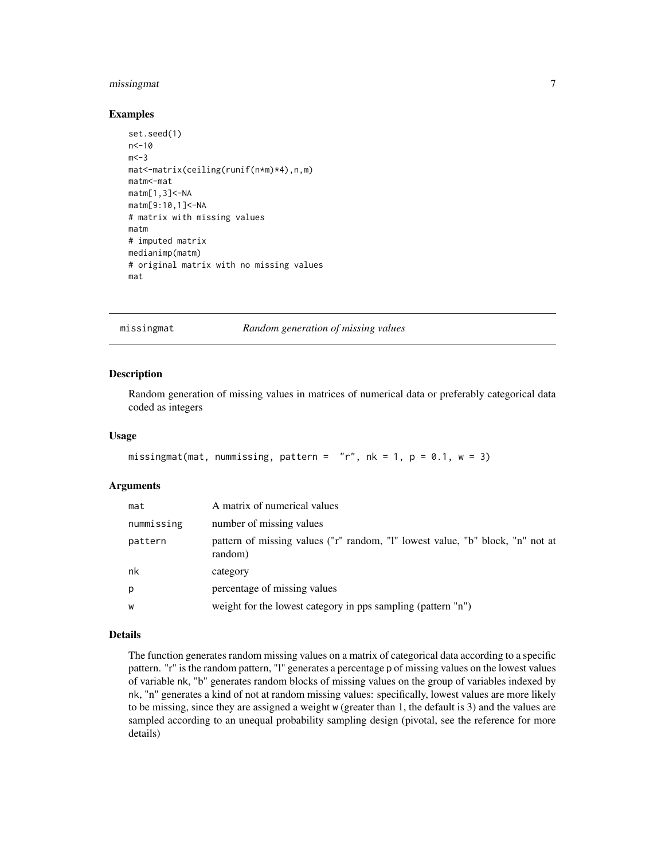## <span id="page-6-0"></span>missingmat 7

#### Examples

```
set.seed(1)
n < -10m < -3mat<-matrix(ceiling(runif(n*m)*4),n,m)
matm<-mat
matm[1,3]<-NA
matm[9:10,1]<-NA
# matrix with missing values
matm
# imputed matrix
medianimp(matm)
# original matrix with no missing values
mat
```
<span id="page-6-1"></span>missingmat *Random generation of missing values*

#### Description

Random generation of missing values in matrices of numerical data or preferably categorical data coded as integers

#### Usage

```
missingmat(mat, nummissing, pattern = "r", nk = 1, p = 0.1, w = 3)
```
#### Arguments

| mat        | A matrix of numerical values                                                              |
|------------|-------------------------------------------------------------------------------------------|
| nummissing | number of missing values                                                                  |
| pattern    | pattern of missing values ("r" random, "l" lowest value, "b" block, "n" not at<br>random) |
| nk         | category                                                                                  |
| p          | percentage of missing values                                                              |
| W          | weight for the lowest category in pps sampling (pattern "n")                              |

## Details

The function generates random missing values on a matrix of categorical data according to a specific pattern. "r" is the random pattern, "l" generates a percentage p of missing values on the lowest values of variable nk, "b" generates random blocks of missing values on the group of variables indexed by nk, "n" generates a kind of not at random missing values: specifically, lowest values are more likely to be missing, since they are assigned a weight w (greater than 1, the default is 3) and the values are sampled according to an unequal probability sampling design (pivotal, see the reference for more details)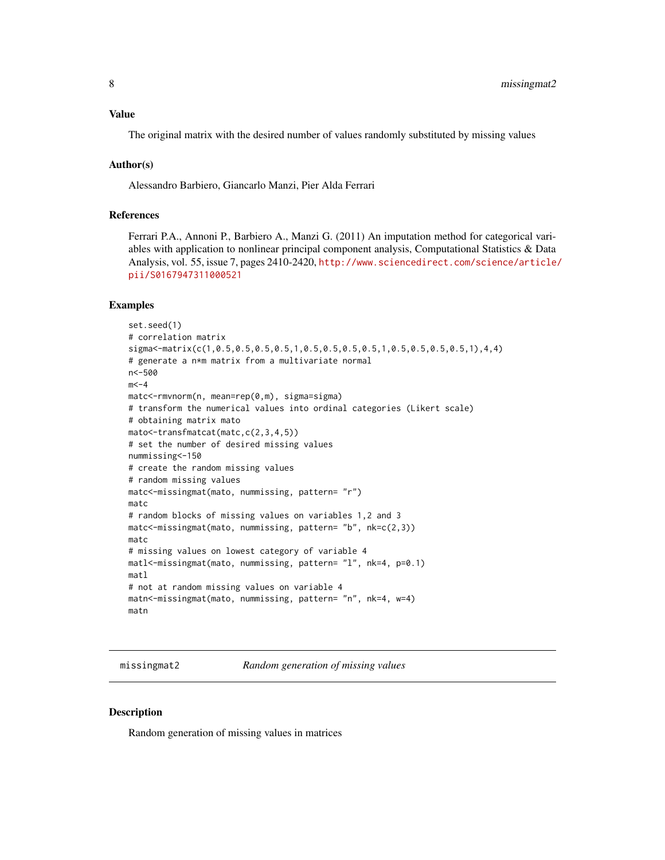#### <span id="page-7-0"></span>Value

The original matrix with the desired number of values randomly substituted by missing values

#### Author(s)

Alessandro Barbiero, Giancarlo Manzi, Pier Alda Ferrari

## References

Ferrari P.A., Annoni P., Barbiero A., Manzi G. (2011) An imputation method for categorical variables with application to nonlinear principal component analysis, Computational Statistics & Data Analysis, vol. 55, issue 7, pages 2410-2420, [http://www.sciencedirect.com/science/article/](http://www.sciencedirect.com/science/article/pii/S0167947311000521) [pii/S0167947311000521](http://www.sciencedirect.com/science/article/pii/S0167947311000521)

## Examples

```
set.seed(1)
# correlation matrix
sigma<-matrix(c(1,0.5,0.5,0.5,0.5,1,0.5,0.5,0.5,0.5,1,0.5,0.5,0.5,0.5,1),4,4)
# generate a n*m matrix from a multivariate normal
n<-500
m < -4matc<-rmvnorm(n, mean=rep(0,m), sigma=sigma)
# transform the numerical values into ordinal categories (Likert scale)
# obtaining matrix mato
mato<-transfmatcat(matc,c(2,3,4,5))
# set the number of desired missing values
nummissing<-150
# create the random missing values
# random missing values
matc<-missingmat(mato, nummissing, pattern= "r")
matc
# random blocks of missing values on variables 1,2 and 3
matc<-missingmat(mato, nummissing, pattern= "b", nk=c(2,3))
matc
# missing values on lowest category of variable 4
matl<-missingmat(mato, nummissing, pattern= "l", nk=4, p=0.1)
matl
# not at random missing values on variable 4
matn<-missingmat(mato, nummissing, pattern= "n", nk=4, w=4)
matn
```
missingmat2 *Random generation of missing values*

#### **Description**

Random generation of missing values in matrices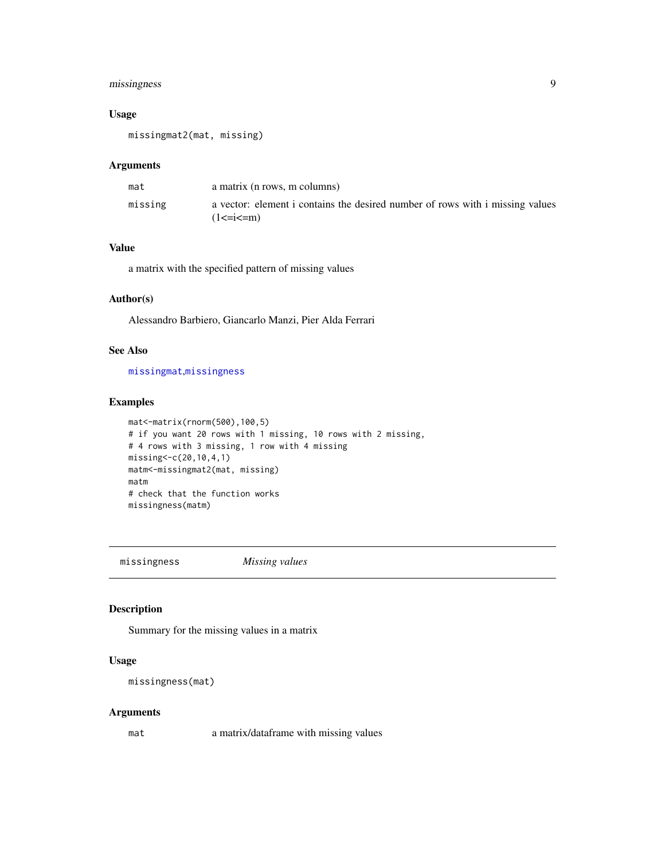## <span id="page-8-0"></span>missingness 9

## Usage

missingmat2(mat, missing)

#### Arguments

| mat     | a matrix (n rows, m columns)                                                                      |
|---------|---------------------------------------------------------------------------------------------------|
| missing | a vector: element i contains the desired number of rows with i missing values<br>$(1\le i \le m)$ |

## Value

a matrix with the specified pattern of missing values

## Author(s)

Alessandro Barbiero, Giancarlo Manzi, Pier Alda Ferrari

## See Also

[missingmat](#page-6-1),[missingness](#page-8-1)

## Examples

```
mat<-matrix(rnorm(500),100,5)
# if you want 20 rows with 1 missing, 10 rows with 2 missing,
# 4 rows with 3 missing, 1 row with 4 missing
missing<-c(20,10,4,1)
matm<-missingmat2(mat, missing)
matm
# check that the function works
missingness(matm)
```
<span id="page-8-1"></span>missingness *Missing values*

## Description

Summary for the missing values in a matrix

#### Usage

missingness(mat)

## Arguments

mat a matrix/dataframe with missing values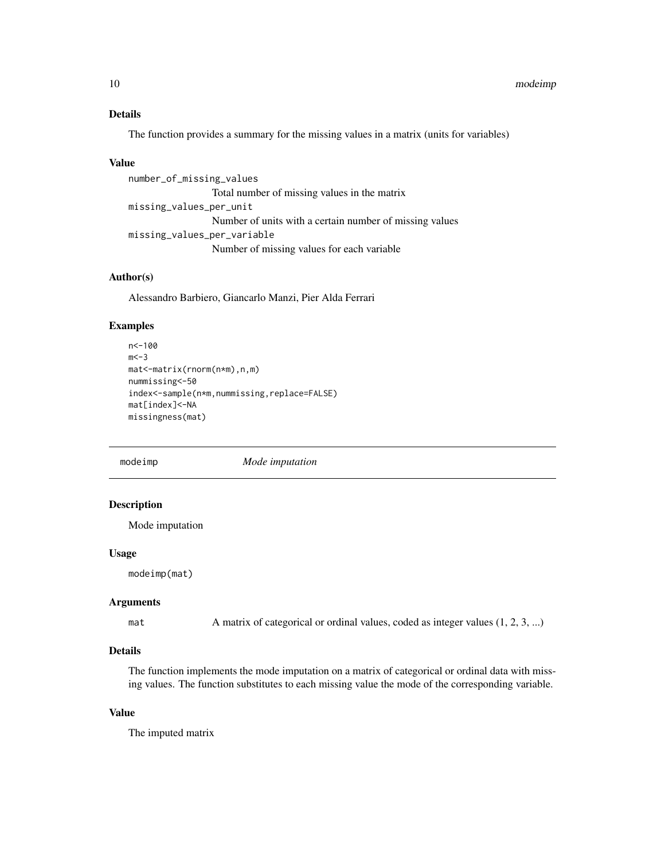## <span id="page-9-0"></span>Details

The function provides a summary for the missing values in a matrix (units for variables)

#### Value

```
number_of_missing_values
                 Total number of missing values in the matrix
missing_values_per_unit
                 Number of units with a certain number of missing values
missing_values_per_variable
                 Number of missing values for each variable
```
#### Author(s)

Alessandro Barbiero, Giancarlo Manzi, Pier Alda Ferrari

### Examples

```
n<-100
m < -3mat<-matrix(rnorm(n*m),n,m)
nummissing<-50
index<-sample(n*m,nummissing,replace=FALSE)
mat[index]<-NA
missingness(mat)
```
<span id="page-9-1"></span>

modeimp *Mode imputation*

#### Description

Mode imputation

#### Usage

modeimp(mat)

## Arguments

mat A matrix of categorical or ordinal values, coded as integer values  $(1, 2, 3, ...)$ 

## Details

The function implements the mode imputation on a matrix of categorical or ordinal data with missing values. The function substitutes to each missing value the mode of the corresponding variable.

## Value

The imputed matrix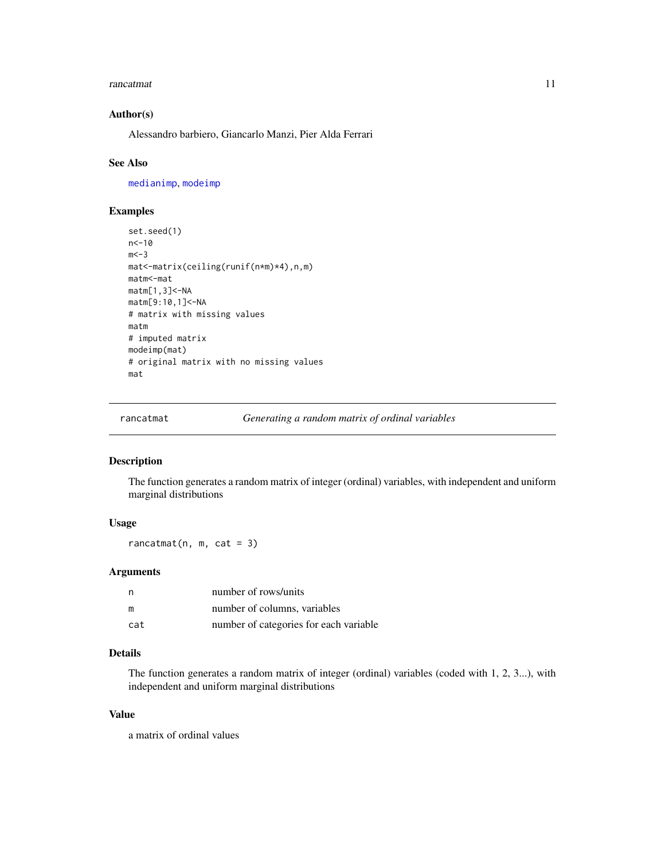#### <span id="page-10-0"></span>rancatmat 11

## Author(s)

Alessandro barbiero, Giancarlo Manzi, Pier Alda Ferrari

#### See Also

[medianimp](#page-5-1), [modeimp](#page-9-1)

#### Examples

```
set.seed(1)
n<-10
m < -3mat<-matrix(ceiling(runif(n*m)*4),n,m)
matm<-mat
matm[1,3]<-NA
matm[9:10,1]<-NA
# matrix with missing values
matm
# imputed matrix
modeimp(mat)
# original matrix with no missing values
mat
```
<span id="page-10-1"></span>rancatmat *Generating a random matrix of ordinal variables*

#### Description

The function generates a random matrix of integer (ordinal) variables, with independent and uniform marginal distributions

## Usage

 $rancatmat(n, m, cat = 3)$ 

## Arguments

| n   | number of rows/units                   |
|-----|----------------------------------------|
| m   | number of columns, variables           |
| cat | number of categories for each variable |

## Details

The function generates a random matrix of integer (ordinal) variables (coded with 1, 2, 3...), with independent and uniform marginal distributions

## Value

a matrix of ordinal values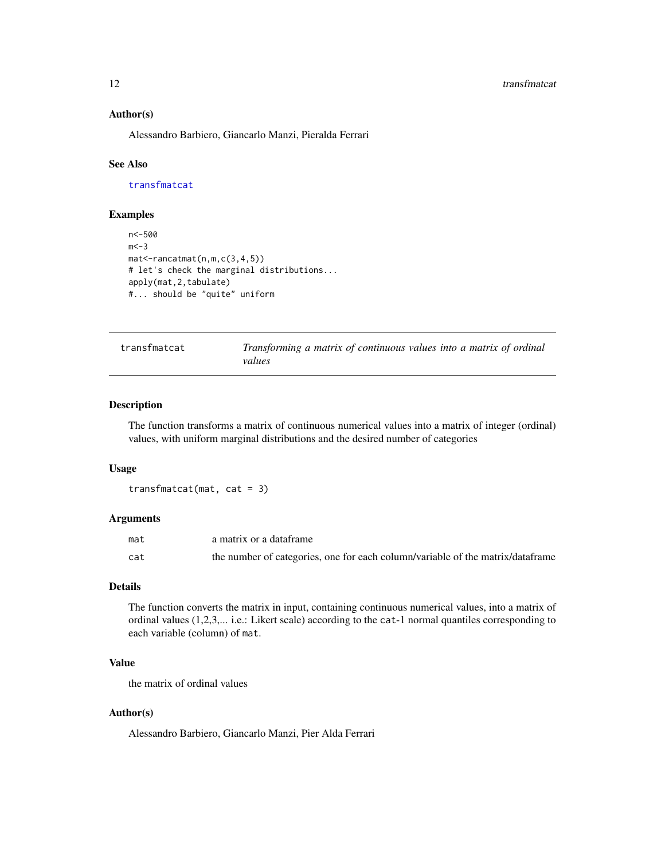#### <span id="page-11-0"></span>12 transfmatcat transfmatcat transfmatcat transfmatcat transfmatcat transfmatcat

#### Author(s)

Alessandro Barbiero, Giancarlo Manzi, Pieralda Ferrari

## See Also

[transfmatcat](#page-11-1)

## Examples

```
n<-500
m < -3mat<-rancatmat(n,m,c(3,4,5))
# let's check the marginal distributions...
apply(mat,2,tabulate)
#... should be "quite" uniform
```
<span id="page-11-1"></span>

| transfmatcat | Transforming a matrix of continuous values into a matrix of ordinal |
|--------------|---------------------------------------------------------------------|
|              | values                                                              |

## Description

The function transforms a matrix of continuous numerical values into a matrix of integer (ordinal) values, with uniform marginal distributions and the desired number of categories

### Usage

transfmatcat(mat, cat = 3)

## Arguments

| mat | a matrix or a dataframe                                                        |
|-----|--------------------------------------------------------------------------------|
| cat | the number of categories, one for each column/variable of the matrix/dataframe |

#### Details

The function converts the matrix in input, containing continuous numerical values, into a matrix of ordinal values (1,2,3,... i.e.: Likert scale) according to the cat-1 normal quantiles corresponding to each variable (column) of mat.

## Value

the matrix of ordinal values

#### Author(s)

Alessandro Barbiero, Giancarlo Manzi, Pier Alda Ferrari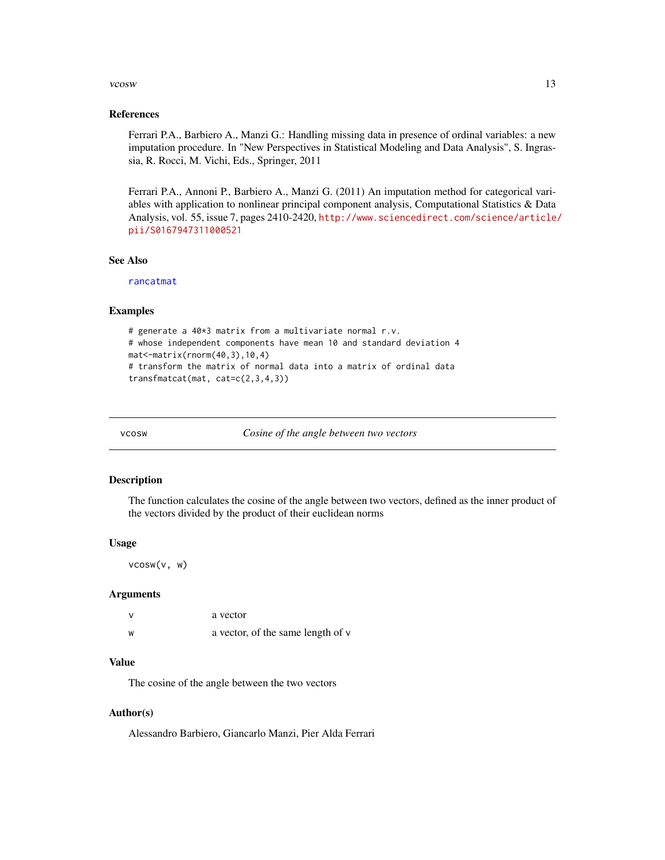#### <span id="page-12-0"></span>vcosw and the contract of the contract of the contract of the contract of the contract of the contract of the contract of the contract of the contract of the contract of the contract of the contract of the contract of the

#### References

Ferrari P.A., Barbiero A., Manzi G.: Handling missing data in presence of ordinal variables: a new imputation procedure. In "New Perspectives in Statistical Modeling and Data Analysis", S. Ingrassia, R. Rocci, M. Vichi, Eds., Springer, 2011

Ferrari P.A., Annoni P., Barbiero A., Manzi G. (2011) An imputation method for categorical variables with application to nonlinear principal component analysis, Computational Statistics & Data Analysis, vol. 55, issue 7, pages 2410-2420, [http://www.sciencedirect.com/science/article/](http://www.sciencedirect.com/science/article/pii/S0167947311000521) [pii/S0167947311000521](http://www.sciencedirect.com/science/article/pii/S0167947311000521)

#### See Also

[rancatmat](#page-10-1)

#### Examples

```
# generate a 40*3 matrix from a multivariate normal r.v.
# whose independent components have mean 10 and standard deviation 4
mat<-matrix(rnorm(40,3),10,4)
# transform the matrix of normal data into a matrix of ordinal data
transfmatcat(mat, cat=c(2,3,4,3))
```
vcosw *Cosine of the angle between two vectors*

#### Description

The function calculates the cosine of the angle between two vectors, defined as the inner product of the vectors divided by the product of their euclidean norms

#### Usage

```
vcosw(v, w)
```
#### Arguments

| $\mathsf{v}$ | a vector                          |
|--------------|-----------------------------------|
| W            | a vector, of the same length of v |

## Value

The cosine of the angle between the two vectors

#### Author(s)

Alessandro Barbiero, Giancarlo Manzi, Pier Alda Ferrari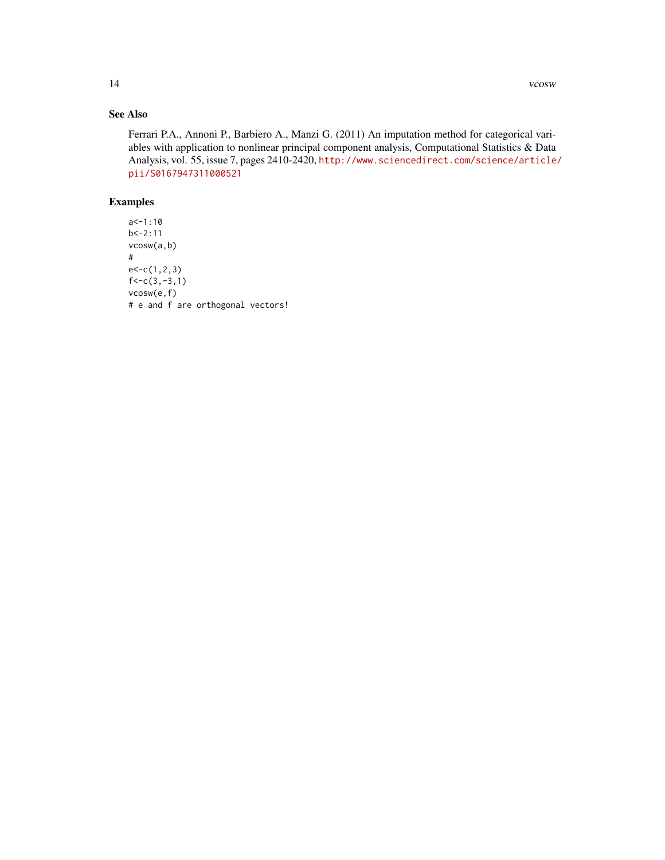## See Also

Ferrari P.A., Annoni P., Barbiero A., Manzi G. (2011) An imputation method for categorical variables with application to nonlinear principal component analysis, Computational Statistics & Data Analysis, vol. 55, issue 7, pages 2410-2420, [http://www.sciencedirect.com/science/article/](http://www.sciencedirect.com/science/article/pii/S0167947311000521) [pii/S0167947311000521](http://www.sciencedirect.com/science/article/pii/S0167947311000521)

## Examples

```
a < -1:10b < -2:11vcosw(a,b)
#
e < -c(1,2,3)f < -c(3, -3, 1)vcosw(e,f)
# e and f are orthogonal vectors!
```